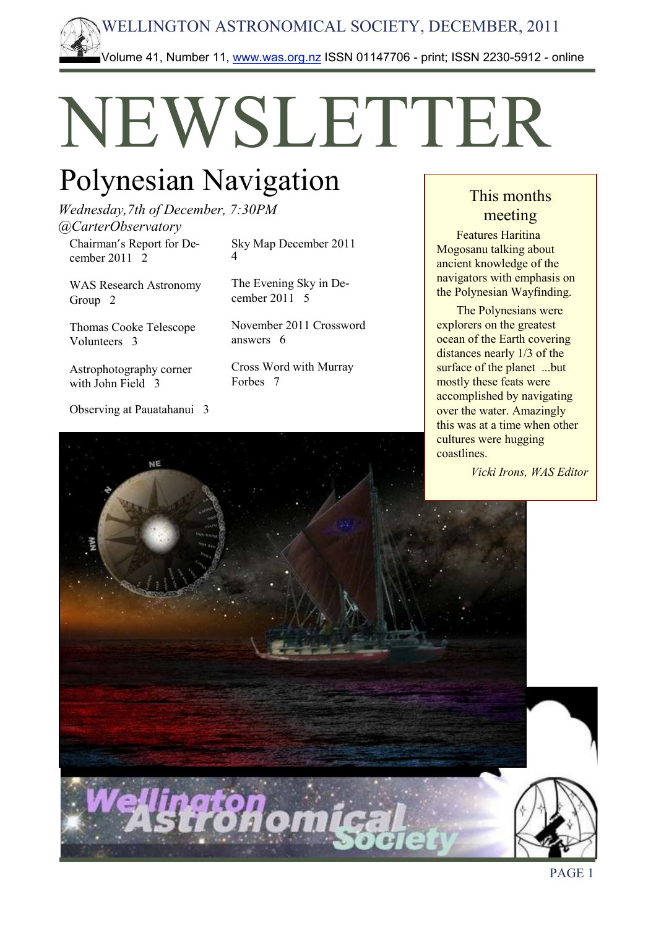

# NEWSLETTER

# Polynesian Navigation

*Wednesday,7th of December, 7:30PM @CarterObservatory*

Chairman's Report for December 2011 2

WAS Research Astronomy Group 2

Thomas Cooke Telescope Volunteers 3

Astrophotography corner with John Field 3

Observing at Pauatahanui 3

Sky Map December 2011 4

The Evening Sky in December 2011 5

November 2011 Crossword answers 6

Cross Word with Murray Forbes 7

### This months meeting

Features Haritina Mogosanu talking about ancient knowledge of the navigators with emphasis on the Polynesian Wayfinding.

The Polynesians were explorers on the greatest ocean of the Earth covering distances nearly 1/3 of the surface of the planet ...but mostly these feats were accomplished by navigating over the water. Amazingly this was at a time when other cultures were hugging coastlines.

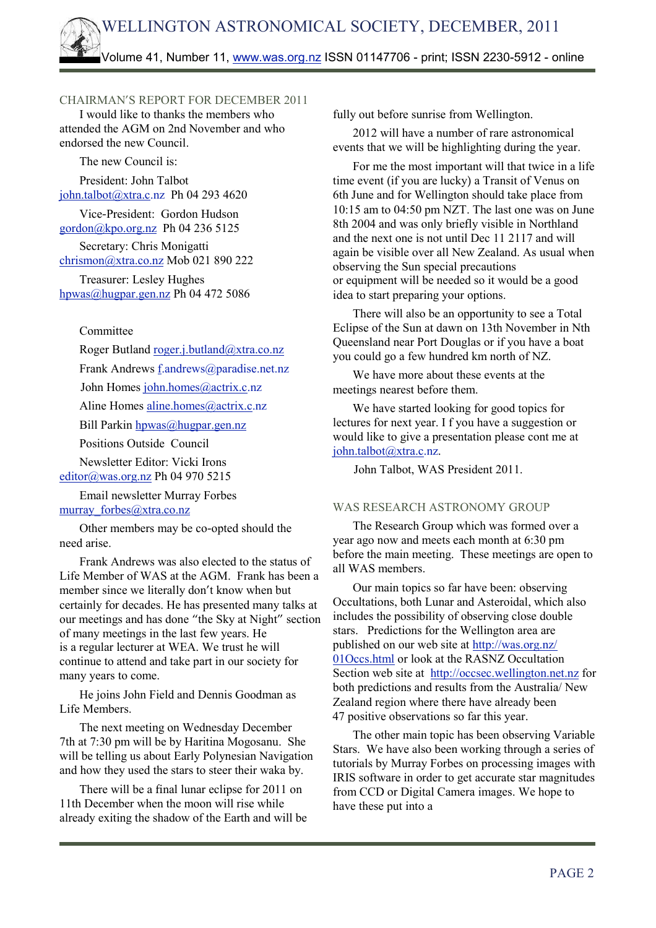#### CHAIRMAN'S REPORT FOR DECEMBER 2011

I would like to thanks the members who attended the AGM on 2nd November and who endorsed the new Council.

The new Council is:

President: John Talbot [john.talbot@xtra.c.](mailto:talbot@xtra.co.nz)nz Ph 04 293 4620

Vice-President: Gordon Hudson [gordon@kpo.org.nz](mailto:gordon@kpo.org.nz) Ph 04 236 5125

Secretary: Chris Monigatti [chrismon@xtra.co.nz](mailto:chrismon@xtra.co.nz) Mob 021 890 222

Treasurer: Lesley Hughes [hpwas@hugpar.gen.nz](mailto:hpwas@hugpar.gen.nz) Ph 04 472 5086

#### Committee

Roger Butland roge[r.j.butland@xtra.co.nz](mailto:butland@xtra.co.nz) Frank Andrews [f.andrews@paradise.net.nz](mailto:andrews@paradise.net.nz) John Homes [john.homes@actrix.c.](mailto:homes@actrix.co.nz)nz Aline Homes [aline.homes@actrix.c.](mailto:homes@actrix.co.nz)nz Bill Parki[n hpwas@hugpar.gen.nz](mailto:hpwas@hugpar.gen.nz) Positions Outside Council Newsletter Editor: Vicki Irons [editor@was.org.nz](mailto:editor@was.org.nz) Ph 04 970 5215 Email newsletter Murray Forbes

#### murray forbes@xtra.co.nz

Other members may be co-opted should the need arise.

Frank Andrews was also elected to the status of Life Member of WAS at the AGM. Frank has been a member since we literally don't know when but certainly for decades. He has presented many talks at our meetings and has done "the Sky at Night" section of many meetings in the last few years. He is a regular lecturer at WEA. We trust he will continue to attend and take part in our society for many years to come.

He joins John Field and Dennis Goodman as Life Members.

The next meeting on Wednesday December 7th at 7:30 pm will be by Haritina Mogosanu. She will be telling us about Early Polynesian Navigation and how they used the stars to steer their waka by.

There will be a final lunar eclipse for 2011 on 11th December when the moon will rise while already exiting the shadow of the Earth and will be fully out before sunrise from Wellington.

2012 will have a number of rare astronomical events that we will be highlighting during the year.

For me the most important will that twice in a life time event (if you are lucky) a Transit of Venus on 6th June and for Wellington should take place from 10:15 am to 04:50 pm NZT. The last one was on June 8th 2004 and was only briefly visible in Northland and the next one is not until Dec 11 2117 and will again be visible over all New Zealand. As usual when observing the Sun special precautions or equipment will be needed so it would be a good idea to start preparing your options.

There will also be an opportunity to see a Total Eclipse of the Sun at dawn on 13th November in Nth Queensland near Port Douglas or if you have a boat you could go a few hundred km north of NZ.

We have more about these events at the meetings nearest before them.

We have started looking for good topics for lectures for next year. I f you have a suggestion or would like to give a presentation please cont me at [john.talbot@xtra.c.](mailto:talbot@xtra.co.nz)nz.

John Talbot, WAS President 2011.

#### WAS RESEARCH ASTRONOMY GROUP

The Research Group which was formed over a year ago now and meets each month at 6:30 pm before the main meeting. These meetings are open to all WAS members.

Our main topics so far have been: observing Occultations, both Lunar and Asteroidal, which also includes the possibility of observing close double stars. Predictions for the Wellington area are published on our web site at<http://was.org.nz/> 01Occs.html or look at the RASNZ Occultation Section web site at [http://occsec.wellington.net.nz](http://occsec.wellington.net.nz/) for both predictions and results from the Australia/ New Zealand region where there have already been 47 positive observations so far this year.

The other main topic has been observing Variable Stars. We have also been working through a series of tutorials by Murray Forbes on processing images with IRIS software in order to get accurate star magnitudes from CCD or Digital Camera images. We hope to have these put into a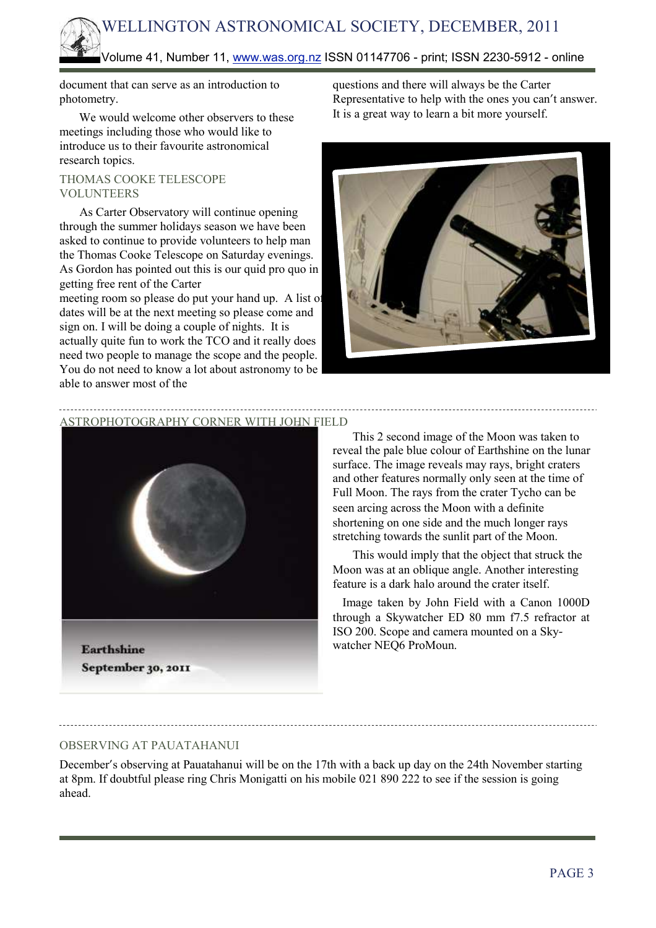# WELLINGTON ASTRONOMICAL SOCIETY, DECEMBER, 2011

#### Volume 41, Number 11, [www.was.org.nz](http://www.was.org.nz/) ISSN 01147706 - print; ISSN 2230-5912 - online

document that can serve as an introduction to photometry.

We would welcome other observers to these meetings including those who would like to introduce us to their favourite astronomical research topics.

#### THOMAS COOKE TELESCOPE VOLUNTEERS

As Carter Observatory will continue opening through the summer holidays season we have been asked to continue to provide volunteers to help man the Thomas Cooke Telescope on Saturday evenings. As Gordon has pointed out this is our quid pro quo in getting free rent of the Carter

meeting room so please do put your hand up. A list of dates will be at the next meeting so please come and sign on. I will be doing a couple of nights. It is actually quite fun to work the TCO and it really does need two people to manage the scope and the people. You do not need to know a lot about astronomy to be able to answer most of the

questions and there will always be the Carter Representative to help with the ones you can't answer. It is a great way to learn a bit more yourself.



ASTROPHOTOGRAPHY CORNER WITH JOHN FIELD



September 30, 2011

This 2 second image of the Moon was taken to reveal the pale blue colour of Earthshine on the lunar surface. The image reveals may rays, bright craters and other features normally only seen at the time of Full Moon. The rays from the crater Tycho can be seen arcing across the Moon with a definite shortening on one side and the much longer rays stretching towards the sunlit part of the Moon.

This would imply that the object that struck the Moon was at an oblique angle. Another interesting feature is a dark halo around the crater itself.

Image taken by John Field with a Canon 1000D through a Skywatcher ED 80 mm f7.5 refractor at ISO 200. Scope and camera mounted on a Skywatcher NEQ6 ProMoun.

#### OBSERVING AT PAUATAHANUI

December's observing at Pauatahanui will be on the 17th with a back up day on the 24th November starting at 8pm. If doubtful please ring Chris Monigatti on his mobile 021 890 222 to see if the session is going ahead.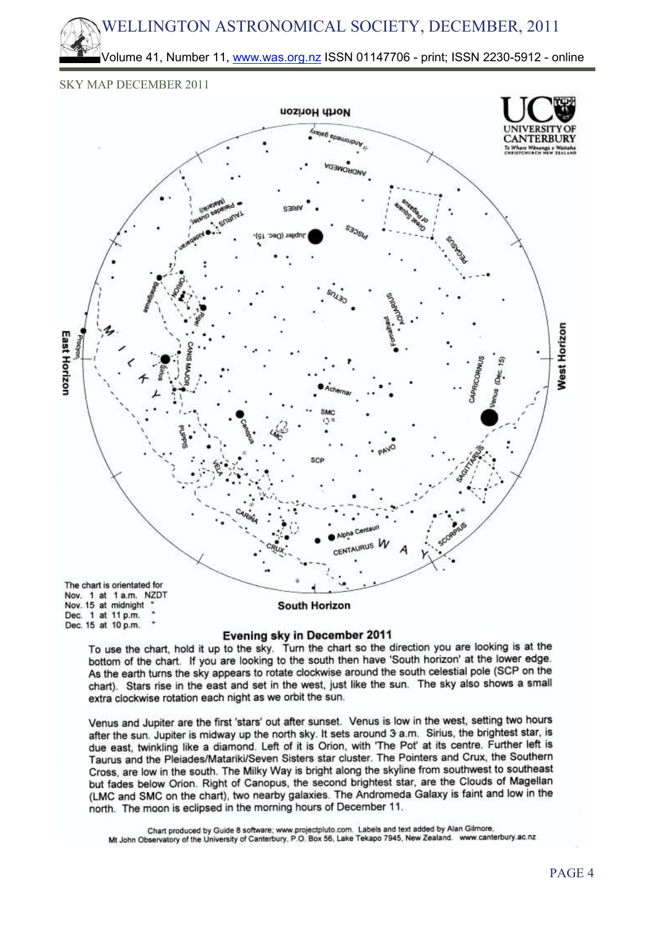## WELLINGTON ASTRONOMICAL SOCIETY, DECEMBER, 2011

Volume 41, Number 11, [www.was.org.nz](http://www.was.org.nz/) ISSN 01147706 - print; ISSN 2230-5912 - online

#### SKY MAP DECEMBER 2011



#### Evening sky in December 2011

To use the chart, hold it up to the sky. Turn the chart so the direction you are looking is at the bottom of the chart. If you are looking to the south then have 'South horizon' at the lower edge. As the earth turns the sky appears to rotate clockwise around the south celestial pole (SCP on the chart). Stars rise in the east and set in the west, just like the sun. The sky also shows a small extra clockwise rotation each night as we orbit the sun.

Venus and Jupiter are the first 'stars' out after sunset. Venus is low in the west, setting two hours after the sun. Jupiter is midway up the north sky. It sets around 3 a.m. Sirius, the brightest star, is due east, twinkling like a diamond. Left of it is Orion, with 'The Pot' at its centre. Further left is Taurus and the Pleiades/Matariki/Seven Sisters star cluster. The Pointers and Crux, the Southern Cross, are low in the south. The Milky Way is bright along the skyline from southwest to southeast but fades below Orion. Right of Canopus, the second brightest star, are the Clouds of Magellan (LMC and SMC on the chart), two nearby galaxies. The Andromeda Galaxy is faint and low in the north. The moon is eclipsed in the morning hours of December 11.

Chart produced by Guide 8 software; www.projectpluto.com. Labels and text added by Alan Gilmore, Mt John Observatory of the University of Canterbury, P.O. Box 56, Lake Tekapo 7945, New Zealand. www.canterbury.ac.nz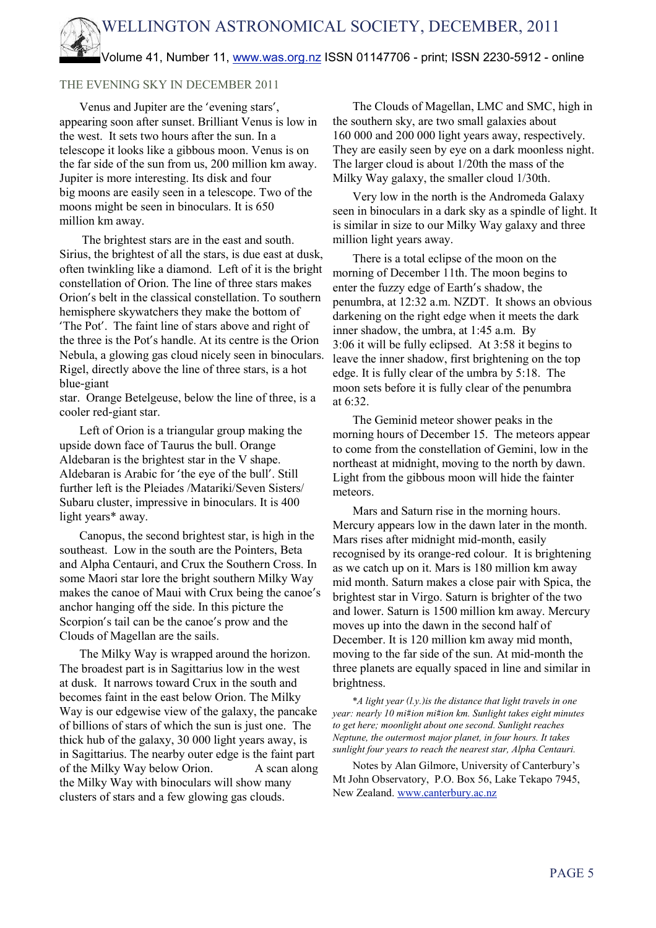# WELLINGTON ASTRONOMICAL SOCIETY, DECEMBER, 2011 Volume 41, Number 11, [www.was.org.nz](http://www.was.org.nz/) ISSN 01147706 - print; ISSN 2230-5912 - online

#### THE EVENING SKY IN DECEMBER 2011

Venus and Jupiter are the 'evening stars', appearing soon after sunset. Brilliant Venus is low in the west. It sets two hours after the sun. In a telescope it looks like a gibbous moon. Venus is on the far side of the sun from us, 200 million km away. Jupiter is more interesting. Its disk and four big moons are easily seen in a telescope. Two of the moons might be seen in binoculars. It is 650 million km away.

The brightest stars are in the east and south. Sirius, the brightest of all the stars, is due east at dusk, often twinkling like a diamond. Left of it is the bright constellation of Orion. The line of three stars makes Orion's belt in the classical constellation. To southern hemisphere skywatchers they make the bottom of 'The Pot'. The faint line of stars above and right of the three is the Pot's handle. At its centre is the Orion Nebula, a glowing gas cloud nicely seen in binoculars. Rigel, directly above the line of three stars, is a hot blue-giant

star. Orange Betelgeuse, below the line of three, is a cooler red-giant star.

Left of Orion is a triangular group making the upside down face of Taurus the bull. Orange Aldebaran is the brightest star in the V shape. Aldebaran is Arabic for 'the eye of the bull'. Still further left is the Pleiades /Matariki/Seven Sisters/ Subaru cluster, impressive in binoculars. It is 400 light years\* away.

Canopus, the second brightest star, is high in the southeast. Low in the south are the Pointers, Beta and Alpha Centauri, and Crux the Southern Cross. In some Maori star lore the bright southern Milky Way makes the canoe of Maui with Crux being the canoe's anchor hanging off the side. In this picture the Scorpion's tail can be the canoe's prow and the Clouds of Magellan are the sails.

The Milky Way is wrapped around the horizon. The broadest part is in Sagittarius low in the west at dusk. It narrows toward Crux in the south and becomes faint in the east below Orion. The Milky Way is our edgewise view of the galaxy, the pancake of billions of stars of which the sun is just one. The thick hub of the galaxy, 30 000 light years away, is in Sagittarius. The nearby outer edge is the faint part of the Milky Way below Orion. A scan along the Milky Way with binoculars will show many clusters of stars and a few glowing gas clouds.

The Clouds of Magellan, LMC and SMC, high in the southern sky, are two small galaxies about 160 000 and 200 000 light years away, respectively. They are easily seen by eye on a dark moonless night. The larger cloud is about 1/20th the mass of the Milky Way galaxy, the smaller cloud 1/30th.

Very low in the north is the Andromeda Galaxy seen in binoculars in a dark sky as a spindle of light. It is similar in size to our Milky Way galaxy and three million light years away.

There is a total eclipse of the moon on the morning of December 11th. The moon begins to enter the fuzzy edge of Earth's shadow, the penumbra, at 12:32 a.m. NZDT. It shows an obvious darkening on the right edge when it meets the dark inner shadow, the umbra, at 1:45 a.m. By 3:06 it will be fully eclipsed. At 3:58 it begins to leave the inner shadow, first brightening on the top edge. It is fully clear of the umbra by 5:18. The moon sets before it is fully clear of the penumbra at 6:32.

The Geminid meteor shower peaks in the morning hours of December 15. The meteors appear to come from the constellation of Gemini, low in the northeast at midnight, moving to the north by dawn. Light from the gibbous moon will hide the fainter meteors.

Mars and Saturn rise in the morning hours. Mercury appears low in the dawn later in the month. Mars rises after midnight mid-month, easily recognised by its orange-red colour. It is brightening as we catch up on it. Mars is 180 million km away mid month. Saturn makes a close pair with Spica, the brightest star in Virgo. Saturn is brighter of the two and lower. Saturn is 1500 million km away. Mercury moves up into the dawn in the second half of December. It is 120 million km away mid month, moving to the far side of the sun. At mid-month the three planets are equally spaced in line and similar in brightness.

*\*A light year (l.y.)is the distance that light travels in one year: nearly 10 mi#ion mi#ion km. Sunlight takes eight minutes to get here; moonlight about one second. Sunlight reaches Neptune, the outermost major planet, in four hours. It takes sunlight four years to reach the nearest star, Alpha Centauri.*

Notes by Alan Gilmore, University of Canterbury's Mt John Observatory, P.O. Box 56, Lake Tekapo 7945, New Zealand. [www.canterbury.ac.nz](http://www.canterbury.ac.nz/)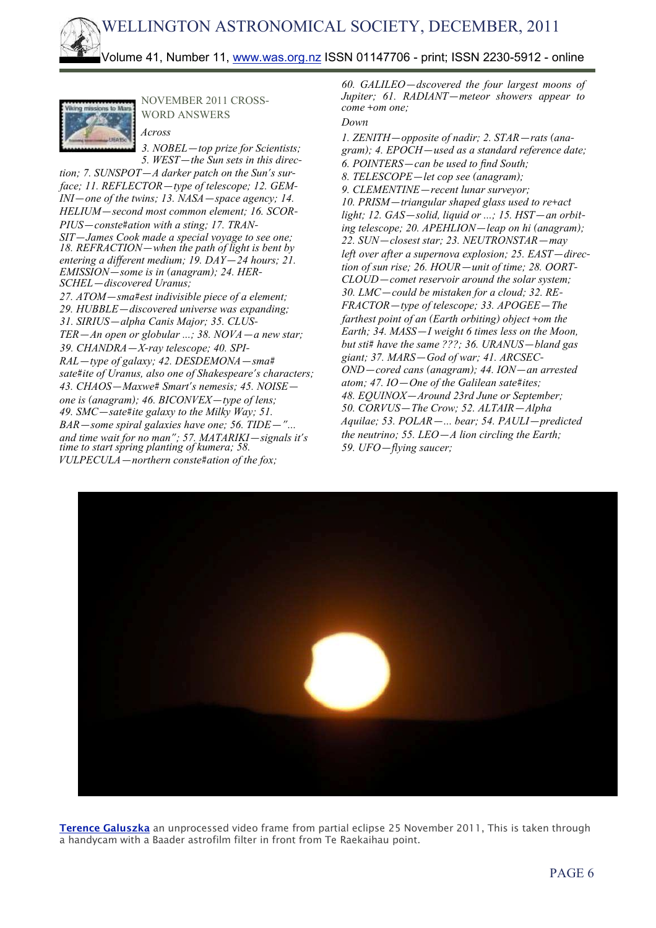

NOVEMBER 2011 CROSS-WORD ANSWERS

*Across 3. NOBEL—top prize for Scientists; 5. WEST—the Sun sets in this direc-*

*tion; 7. SUNSPOT—A darker patch on the Sun's surface; 11. REFLECTOR—type of telescope; 12. GEM-INI—one of the twins; 13. NASA—space agency; 14. HELIUM—second most common element; 16. SCOR-PIUS—conste#ation with a sting; 17. TRAN-SIT—James Cook made a special voyage to see one; 18. REFRACTION—when the path of light is bent by entering a diffierent medium; 19. DAY—24 hours; 21. EMISSION—some is in (anagram); 24. HER-SCHEL—discovered Uranus; 27. ATOM—sma#est indivisible piece of a element; 29. HUBBLE—discovered universe was expanding; 31. SIRIUS—alpha Canis Major; 35. CLUS-TER—An open or globular ...; 38. NOVA—a new star; 39. CHANDRA—X-ray telescope; 40. SPI-RAL—type of galaxy; 42. DESDEMONA—sma# sate#ite of Uranus, also one of Shakespeare's characters; 43. CHAOS—Maxwe# Smart's nemesis; 45. NOISE one is (anagram); 46. BICONVEX—type of lens; 49. SMC—sate#ite galaxy to the Milky Way; 51. BAR—some spiral galaxies have one; 56. TIDE—"... and time wait for no man"; 57. MATARIKI—signals it's time to start spring planting of kumera; 58. VULPECULA—northern conste#ation of the fox;*

*60. GALILEO—dscovered the four largest moons of Jupiter; 61. RADIANT—meteor showers appear to come +om one;*

#### *Down*

*1. ZENITH—opposite of nadir; 2. STAR—rats (anagram); 4. EPOCH—used as a standard reference date; 6. POINTERS—can be used to find South; 8. TELESCOPE—let cop see (anagram); 9. CLEMENTINE—recent lunar surveyor; 10. PRISM—triangular shaped glass used to re+act light; 12. GAS—solid, liquid or ...; 15. HST—an orbiting telescope; 20. APEHLION—leap on hi (anagram); 22. SUN—closest star; 23. NEUTRONSTAR—may left over after a supernova explosion; 25. EAST—direction of sun rise; 26. HOUR—unit of time; 28. OORT-CLOUD—comet reservoir around the solar system; 30. LMC—could be mistaken for a cloud; 32. RE-FRACTOR—type of telescope; 33. APOGEE—The farthest point of an (Earth orbiting) object +om the Earth; 34. MASS—I weight 6 times less on the Moon, but sti# have the same ???; 36. URANUS—bland gas giant; 37. MARS—God of war; 41. ARCSEC-OND—cored cans (anagram); 44. ION—an arrested atom; 47. IO—One of the Galilean sate#ites; 48. EQUINOX—Around 23rd June or September; 50. CORVUS—The Crow; 52. ALTAIR—Alpha Aquilae; 53. POLAR—... bear; 54. PAULI—predicted the neutrino; 55. LEO—A lion circling the Earth; 59. UFO—flying saucer;*



**Terence Galuszka** an unprocessed video frame from partial eclipse 25 November 2011, This is taken through a handycam with a Baader astrofilm filter in front from Te Raekaihau point.